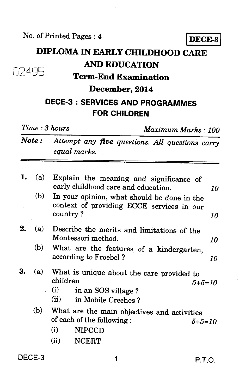## **DIPLOMA IN EARLY CHILDHOOD CARE AND EDUCATION • ; : Term-End Examination December, 2014 DECE-3 : SERVICES AND PROGRAMMES FOR CHILDREN**  *Time : 3 hours Maximum Marks : 100 Note : Attempt any five questions. All questions carry equal marks.*  1. (a) Explain the meaning and significance of early childhood care and education. *10*  (b) In your opinion, what should be done in the context of providing ECCE services in our country ? *10*  2. (a) Describe the merits and limitations of the Montessori method. *10*  (b) What are the features of a kindergarten, according to Froebel ? *10*  3. (a) What is unique about the care provided to children  $5+$ children *5+5=10*  (i) in an SOS village ? (ii) in Mobile Creches ? (b) What are the main objectives and activities of each of the following : *5+5=10*  (i) NIPCCD (ii) NCERT

DECE-3 1 P.T.O.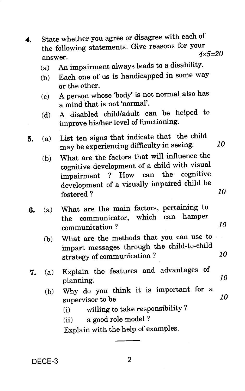- **4.** State whether you agree or disagree with each of the following statements. Give reasons for your answer. *4x5=20* 
	- (a) An impairment always leads to a disability.
	- (b) Each one of us is handicapped in some way or the other.
	- (c) A person whose 'body' is not normal also has a mind that is not 'normal'.
	- (d) A disabled child/adult can be helped to improve his/her level of functioning.
- **5.** (a) List ten signs that indicate that the child may be experiencing difficulty in seeing. *10* 
	- **(b)** What are the factors that will influence the cognitive development of a child with visual impairment ? How can the cognitive development of a visually impaired child be fostered ? *10*
- **6.** (a) What are the main factors, pertaining to the communicator, which can communication ?
	- (b) What are the methods that you can use to impart messages through the child-to-child strategy of communication ? *10*

*10* 

- **7.** (a) Explain the features and advantages of planning. *10* 
	- (b) Why do you think it is important for a supervisor to be *10* 
		- (i) willing to take responsibility ?
		- (ii) a good role model ?

Explain with the help of examples.

DECE-3 2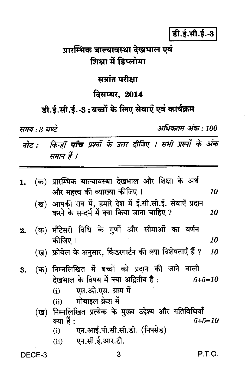डी.ई.सी.ई.-3

प्रारम्भिक बाल्यावस्था देखभाल एवं शिक्षा में डिप्लोमा

सत्रांत परीक्षा

## दिसम्बर, 2014

## डी.ई.सी.ई.-3: बच्चों के लिए सेवाएँ एवं कार्यक्रम

समय : 3 घण्टे

अधिकतम् अंक : 100

नोट : किन्हीं पाँच प्रश्नों के उत्तर दीजिए । सभी प्रश्नों के अंक समान हैं ।

| 1. |     | (क) प्रारम्भिक बाल्यावस्था देखभाल और शिक्षा के अर्थ                                                       |    |
|----|-----|-----------------------------------------------------------------------------------------------------------|----|
|    |     | और महत्त्व की व्याख्या कीजिए ।                                                                            | 10 |
|    |     | (ख) आपकी राय में, हमारे देश में ई.सी.सी.ई. सेवाएँ प्रदान<br>करने के सन्दर्भ में क्या किया जाना चाहिए ?    | 10 |
| 2. |     | (क) मौंटेसरी विधि के गुणों और सीमाओं का वर्णन                                                             |    |
|    |     | कीजिए ।                                                                                                   | 10 |
|    |     | (ख) फ्रोबेल के अनुसार, किंडरगार्टन की क्या विशेषताएँ हैं ?                                                | 10 |
| 3. |     | (क) निम्नलिखित में बच्चों को प्रदान की जाने वाली<br>देखभाल के विषय में क्या अद्वितीय है :<br>$5 + 5 = 10$ |    |
|    |     | एस.ओ.एस. ग्राम में<br>(i)                                                                                 |    |
|    |     | (ii) मोबाइल क्रेश में                                                                                     |    |
|    | (ख) | निम्नलिखित प्रत्येक के मुख्य उद्देश्य और गतिविधियाँ                                                       |    |
|    |     | क्या हैं :<br>5+5=10                                                                                      |    |
|    |     | एन.आई.पी.सी.सी.डी. (निपसेड)<br>(i)                                                                        |    |
|    |     | एन.सी.ई.आर.टी.<br>(ii)                                                                                    |    |
|    |     |                                                                                                           |    |

DECE-3